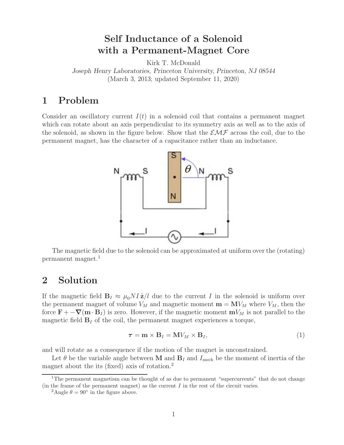## **Self Inductance of a Solenoid with a Permanent-Magnet Core**

Kirk T. McDonald

*Joseph Henry Laboratories, Princeton University, Princeton, NJ 08544* (March 3, 2013; updated September 11, 2020)

## **1 Problem**

Consider an oscillatory current  $I(t)$  in a solenoid coil that contains a permanent magnet which can rotate about an axis perpendicular to its symmetry axis as well as to the axis of the solenoid, as shown in the figure below. Show that the  $\mathcal{EMF}$  across the coil, due to the permanent magnet, has the character of a capacitance rather than an inductance.



The magnetic field due to the solenoid can be approximated at uniform over the (rotating) permanent magnet.<sup>1</sup>

## **2 Solution**

If the magnetic field  $\mathbf{B}_I \approx \mu_0 NI \hat{\mathbf{z}}/l$  due to the current I in the solenoid is uniform over the permanent magnet of volume  $V_M$  and magnetic moment  $\mathbf{m} = \mathbf{M}V_M$  where  $V_M$ , then the force  $\mathbf{F}$  +  $-\nabla(\mathbf{m} \cdot \mathbf{B}_I)$  is zero. However, if the magnetic moment  $\mathbf{m}V_M$  is not parallel to the magnetic field  $\mathbf{B}_I$  of the coil, the permanent magnet experiences a torque,

$$
\tau = \mathbf{m} \times \mathbf{B}_I = \mathbf{M} V_M \times \mathbf{B}_I, \tag{1}
$$

and will rotate as a consequence if the motion of the magnet is unconstrained.

Let  $\theta$  be the variable angle between **M** and  $\mathbf{B}_I$  and  $I_{\text{mech}}$  be the moment of inertia of the magnet about the its (fixed) axis of rotation.<sup>2</sup>

<sup>&</sup>lt;sup>1</sup>The permanent magnetism can be thought of as due to permanent "supercurrents" that do not change (in the frame of the permanent magnet) as the current  $I$  in the rest of the circuit varies.

<sup>&</sup>lt;sup>2</sup>Angle  $\theta = 90^{\circ}$  in the figure above.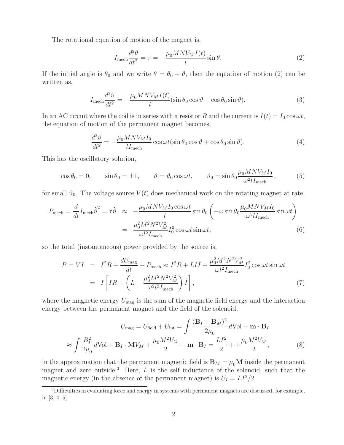The rotational equation of motion of the magnet is,

$$
I_{\text{mech}} \frac{d^2 \theta}{dt^2} = \tau = -\frac{\mu_0 M N V_M I(t)}{l} \sin \theta.
$$
 (2)

If the initial angle is  $\theta_0$  and we write  $\theta = \theta_0 + \vartheta$ , then the equation of motion (2) can be written as,

$$
I_{\text{mech}}\frac{d^2\vartheta}{dt^2} = -\frac{\mu_0 MNV_M I(t)}{l} (\sin \theta_0 \cos \vartheta + \cos \theta_0 \sin \vartheta). \tag{3}
$$

In an AC circuit where the coil is in series with a resistor R and the current is  $I(t) = I_0 \cos \omega t$ , the equation of motion of the permanent magnet becomes,

$$
\frac{d^2\vartheta}{dt^2} = -\frac{\mu_0 M N V_M I_0}{l I_{\text{mech}}} \cos \omega t (\sin \theta_0 \cos \vartheta + \cos \theta_0 \sin \vartheta). \tag{4}
$$

This has the oscillatory solution,

$$
\cos \theta_0 = 0, \qquad \sin \theta_0 = \pm 1, \qquad \vartheta = \vartheta_0 \cos \omega t, \qquad \vartheta_0 = \sin \theta_0 \frac{\mu_0 M N V_M I_0}{\omega^2 l I_{\text{mech}}}, \qquad (5)
$$

for small  $\vartheta_0$ . The voltage source  $V(t)$  does mechanical work on the rotating magnet at rate,

$$
P_{\text{mech}} = \frac{d}{dt} I_{\text{mech}} \dot{\vartheta}^2 = \tau \dot{\vartheta} \approx -\frac{\mu_0 M N V_M I_0 \cos \omega t}{l} \sin \theta_0 \left( -\omega \sin \theta_0 \frac{\mu_0 M N V_M I_0}{\omega^2 l I_{\text{mech}}} \sin \omega t \right)
$$

$$
= \frac{\mu_0^2 M^2 N^2 V_M^2}{\omega l^2 I_{\text{mech}}} I_0^2 \cos \omega t \sin \omega t, \tag{6}
$$

so the total (instantaneous) power provided by the source is,

$$
P = VI = I^2 R + \frac{dU_{\text{mag}}}{dt} + P_{\text{mech}} \approx I^2 R + L I \dot{I} + \frac{\mu_0^2 M^2 N^2 V_M^2}{\omega l^2 I_{\text{mech}}} I_0^2 \cos \omega t \sin \omega t
$$

$$
= I \left[ IR + \left( L - \frac{\mu_0^2 M^2 N^2 V_M^2}{\omega^2 l^2 I_{\text{mech}}} \right) \dot{I} \right], \tag{7}
$$

where the magnetic energy  $U_{\text{mag}}$  is the sum of the magnetic field energy and the interaction energy between the permanent magnet and the field of the solenoid,

$$
U_{\text{mag}} = U_{\text{field}} + U_{\text{int}} = \int \frac{(\mathbf{B}_I + \mathbf{B}_M)^2}{2\mu_0} d\text{Vol} - \mathbf{m} \cdot \mathbf{B}_I
$$

$$
\approx \int \frac{B_I^2}{2\mu_0} d\text{Vol} + \mathbf{B}_I \cdot \mathbf{M} V_M + \frac{\mu_0 M^2 V_M}{2} - \mathbf{m} \cdot \mathbf{B}_I = \frac{LI^2}{2} + \frac{\mu_0 M^2 V_M}{2},\tag{8}
$$

in the approximation that the permanent magnetic field is  $\mathbf{B}_M = \mu_0 \mathbf{M}$  inside the permanent magnet and zero outside.<sup>3</sup> Here,  $L$  is the self inductance of the solenoid, such that the magnetic energy (in the absence of the permanent magnet) is  $U_I = L I^2/2$ .

 $3$ Difficulties in evaluating force and energy in systems with permanent magnets are discussed, for example, in [3, 4, 5].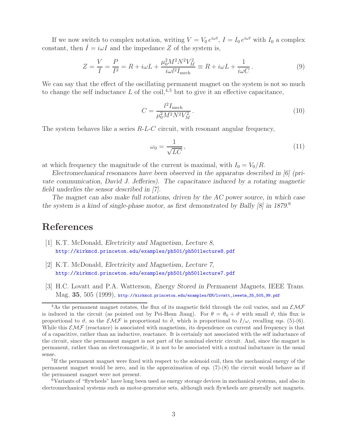If we now switch to complex notation, writing  $V = V_0 e^{i\omega t}$ ,  $I = I_0 e^{i\omega t}$  with  $I_0$  a complex constant, then  $\dot{I} = i\omega I$  and the impedance Z of the system is,

$$
Z = \frac{V}{I} = \frac{P}{I^2} = R + i\omega L + \frac{\mu_0^2 M^2 N^2 V_M^2}{i\omega l^2 I_{\text{mech}}} \equiv R + i\omega L + \frac{1}{i\omega C}.
$$
 (9)

We can say that the effect of the oscillating permanent magnet on the system is not so much to change the self inductance  $L$  of the coil,<sup>4,5</sup> but to give it an effective capacitance,

$$
C = \frac{l^2 I_{\text{mech}}}{\mu_0^2 M^2 N^2 V_M^2}.
$$
\n(10)

The system behaves like a series  $R-L-C$  circuit, with resonant angular frequency,

$$
\omega_0 = \frac{1}{\sqrt{LC}},\tag{11}
$$

at which frequency the magnitude of the current is maximal, with  $I_0 = V_0/R$ .

*Electromechanical resonances have been observed in the apparatus described in [6] (private communication, David J. Jefferies). The capacitance induced by a rotating magnetic field underlies the sensor described in [7].*

*The magnet can also make full rotations, driven by the AC power source, in which case the system is a kind of single-phase motor, as first demonstrated by Bally [8] in 1879.*<sup>6</sup>

## **References**

- [1] K.T. McDonald, *Electricity and Magnetism, Lecture 8*, http://kirkmcd.princeton.edu/examples/ph501/ph501lecture8.pdf
- [2] K.T. McDonald, *Electricity and Magnetism, Lecture 7*, http://kirkmcd.princeton.edu/examples/ph501/ph501lecture7.pdf
- [3] H.C. Lovatt and P.A. Watterson, *Energy Stored in Permanent Magnets*, IEEE Trans. Mag. **35**, 505 (1999), http://kirkmcd.princeton.edu/examples/EM/lovatt\_ieeetm\_35\_505\_99.pdf

<sup>6</sup>Variants of "flywheels" have long been used as energy storage devices in mechanical systems, and also in electromechanical systems such as motor-generator sets, although such flywheels are generally not magnets.

<sup>&</sup>lt;sup>4</sup>As the permanent magnet rotates, the flux of its magnetic field through the coil varies, and an  $\mathcal{EMF}$ is induced in the circuit (as pointed out by Pei-Hsun Jiang). For  $\theta = \theta_0 + \vartheta$  with small  $\vartheta$ , this flux is proportional to  $\vartheta$ , so the  $\mathcal{EMF}$  is proportional to  $\vartheta$ , which is proportional to  $I/\omega$ , recalling eqs. (5)-(6). While this  $\mathcal{EMF}$  (reactance) is associated with magnetism, its dependence on current and frequency is that of a capacitive, rather than an inductive, reactance. It is certainly not associated with the self inductance of the circuit, since the permanent magnet is not part of the nominal electric circuit. And, since the magnet is permanent, rather than an electromagnetic, it is not to be associated with a mutual inductance in the usual sense.

<sup>&</sup>lt;sup>5</sup>If the permanent magnet were fixed with respect to the solenoid coil, then the mechanical energy of the permanent magnet would be zero, and in the approximation of eqs. (7)-(8) the circuit would behave as if the permanent magnet were not present.